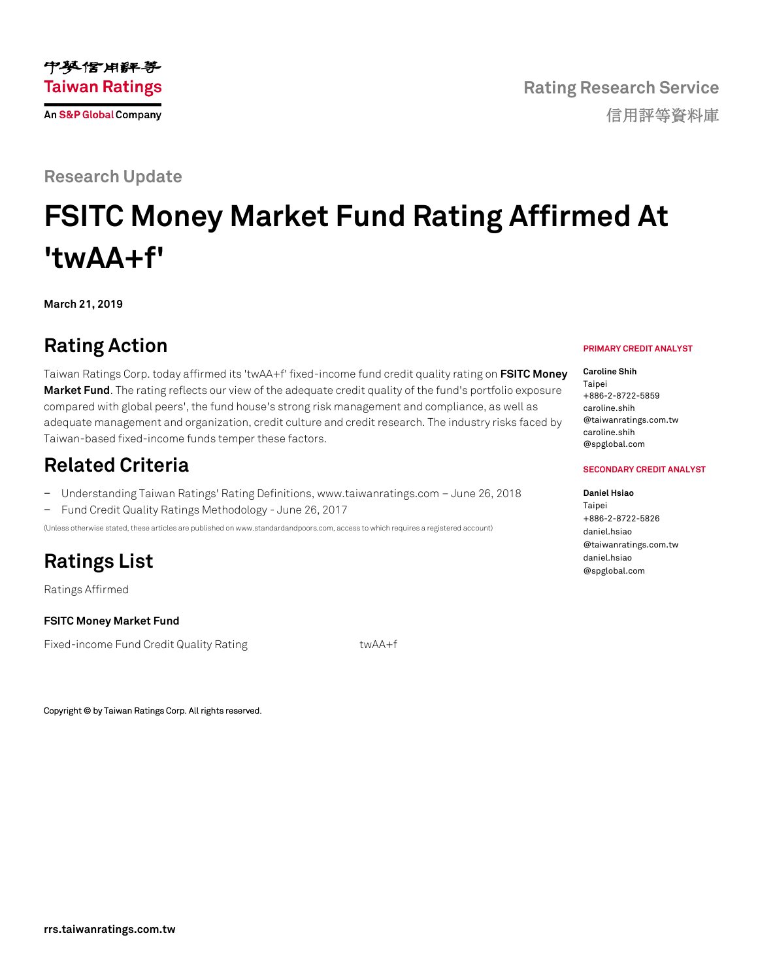

# **FSITC Money Market Fund Rating Affirmed At 'twAA+f'**

**March 21, 2019**

## **Rating Action**

Taiwan Ratings Corp. today affirmed its 'twAA+f' fixed-income fund credit quality rating on **[FSITC Money](https://rrs.taiwanratings.com.tw/portal/member/viewFund/538)  [Market Fund](https://rrs.taiwanratings.com.tw/portal/member/viewFund/538)**. The rating reflects our view of the adequate credit quality of the fund's portfolio exposure compared with global peers', the fund house's strong risk management and compliance, as well as adequate management and organization, credit culture and credit research. The industry risks faced by Taiwan-based fixed-income funds temper these factors.

### **Related Criteria**

− Understanding Taiwan Ratings' Rating Definitions, www.taiwanratings.com – June 26, 2018 − Fund Credit Quality Ratings Methodology - June 26, 2017

(Unless otherwise stated, these articles are published on www.standardandpoors.com, access to which requires a registered account)

### **Ratings List**

Ratings Affirmed

**FSITC Money Market Fund**

Fixed-income Fund Credit Quality Rating twAA+f

Copyright © by Taiwan Ratings Corp. All rights reserved.

#### **PRIMARY CREDIT ANALYST**

**Rating Research Service**

信用評等資料庫

**Caroline Shih** Taipei +886-2-8722-5859 caroline.shih @taiwanratings.com.tw caroline.shih @spglobal.com

#### **SECONDARY CREDIT ANALYST**

**Daniel Hsiao** Taipei

+886-2-8722-5826 daniel.hsiao @taiwanratings.com.tw daniel.hsiao @spglobal.com